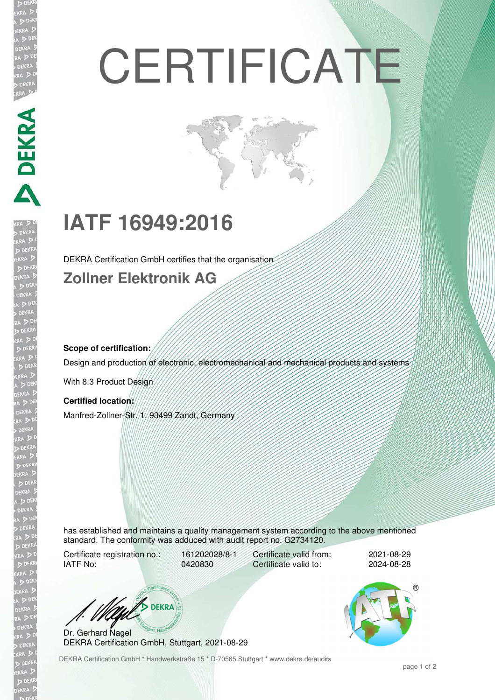# **CERTIFICATE**

## **IATF 16949:2016**

DEKRA Certification GmbH certifies that the organisation

## **Zollner Elektronik AG**

## **Scope of certification:**

**DEKRA** 

Design and production of electronic, electromechanical and mechanical products and systems

With 8.3 Product Design

## **Certified location:**

Manfred-Zollner-Str. 1, 93499 Zandt, Germany

has established and maintains a quality management system according to the above mentioned standard. The conformity was adduced with audit report no. G2734120.

Certificate registration no.: 161202028/8-1 IATF No: 0420830

Certificate valid from: 2021-08-29 Certificate valid to: 2024-08-28

**BEKRA** 

Dr. Gerhard Nagel DEKRA Certification GmbH, Stuttgart, 2021-08-29

DEKRA Certification GmbH \* Handwerkstraße 15 \* D-70565 Stuttgart \* www.dekra.de/audits